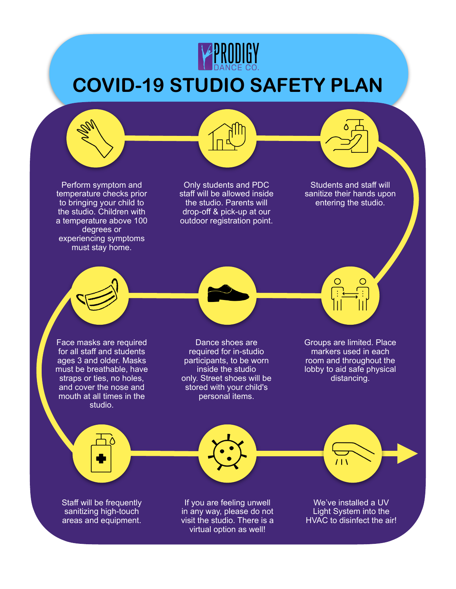

## **COVID-19 STUDIO SAFETY PLAN**

Perform symptom and temperature checks prior to bringing your child to the studio. Children with a temperature above 100 degrees or experiencing symptoms must stay home.

Only students and PDC staff will be allowed inside the studio. Parents will drop-off & pick-up at our outdoor registration point.

Students and staff will sanitize their hands upon entering the studio.

Face masks are required for all staff and students ages 3 and older. Masks must be breathable, have straps or ties, no holes, and cover the nose and mouth at all times in the studio.

Dance shoes are required for in-studio participants, to be worn inside the studio only. Street shoes will be stored with your child's personal items.

Groups are limited. Place markers used in each room and throughout the lobby to aid safe physical distancing.

Staff will be frequently sanitizing high-touch areas and equipment.

If you are feeling unwell in any way, please do not visit the studio. There is a virtual option as well!

We've installed a UV Light System into the HVAC to disinfect the air!

 $11<sup>1</sup>$